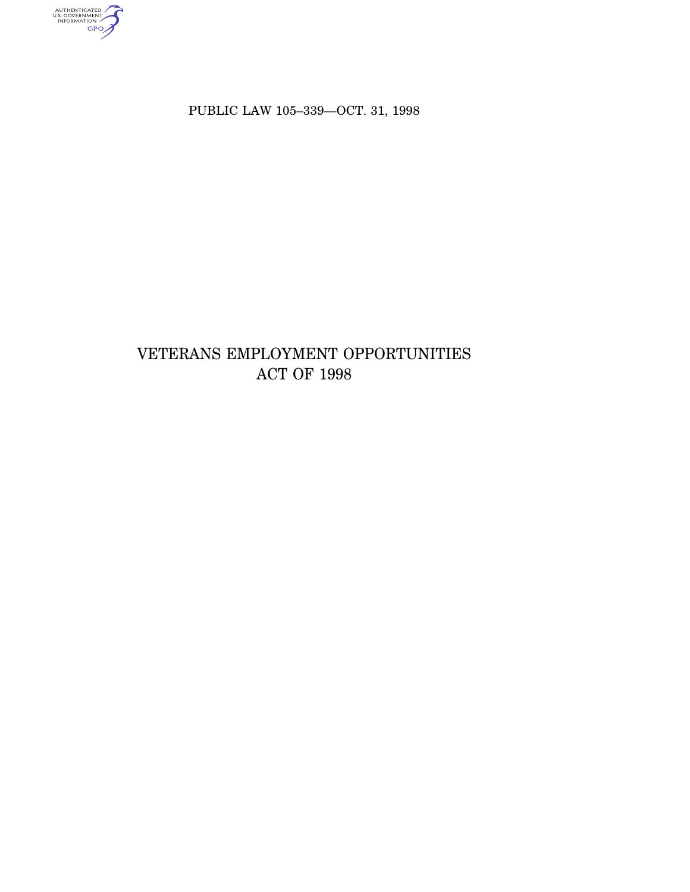authenticated<br>u.s. government<br>information<br>GPO

PUBLIC LAW 105–339—OCT. 31, 1998

# VETERANS EMPLOYMENT OPPORTUNITIES ACT OF 1998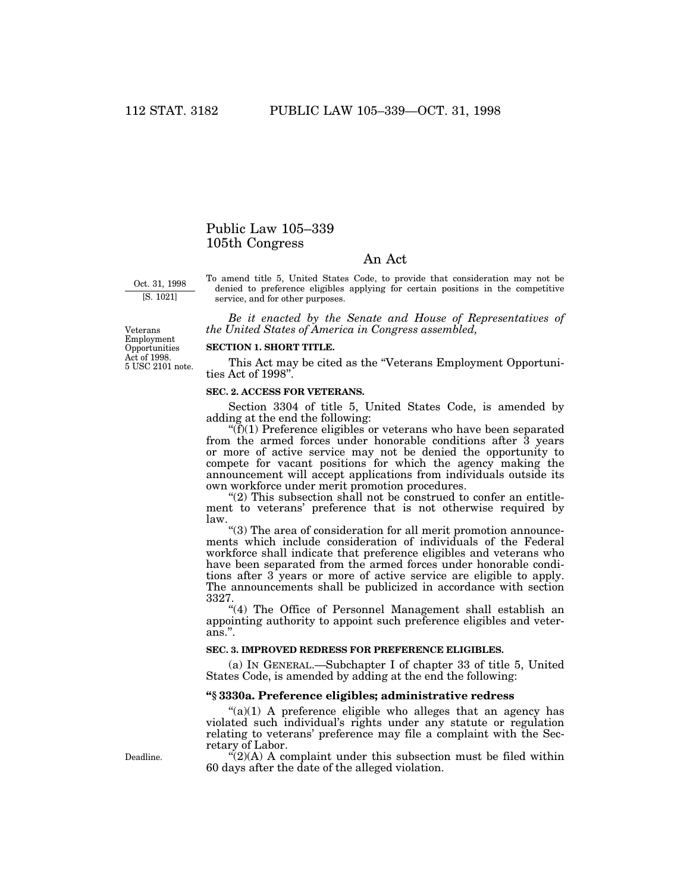## Public Law 105–339 105th Congress

## An Act

Oct. 31, 1998 [S. 1021]

To amend title 5, United States Code, to provide that consideration may not be denied to preference eligibles applying for certain positions in the competitive service, and for other purposes.

*Be it enacted by the Senate and House of Representatives of the United States of America in Congress assembled,*

5 USC 2101 note. Veterans Employment Opportunities Act of 1998.

#### **SECTION 1. SHORT TITLE.**

This Act may be cited as the "Veterans Employment Opportunities Act of 1998''.

### **SEC. 2. ACCESS FOR VETERANS.**

Section 3304 of title 5, United States Code, is amended by adding at the end the following:

 $\mathcal{F}(f)(1)$  Preference eligibles or veterans who have been separated from the armed forces under honorable conditions after 3 years or more of active service may not be denied the opportunity to compete for vacant positions for which the agency making the announcement will accept applications from individuals outside its own workforce under merit promotion procedures.

" $(2)$  This subsection shall not be construed to confer an entitlement to veterans' preference that is not otherwise required by law.

''(3) The area of consideration for all merit promotion announcements which include consideration of individuals of the Federal workforce shall indicate that preference eligibles and veterans who have been separated from the armed forces under honorable conditions after 3 years or more of active service are eligible to apply. The announcements shall be publicized in accordance with section 3327.

"(4) The Office of Personnel Management shall establish an appointing authority to appoint such preference eligibles and veterans.''.

### **SEC. 3. IMPROVED REDRESS FOR PREFERENCE ELIGIBLES.**

(a) IN GENERAL.—Subchapter I of chapter 33 of title 5, United States Code, is amended by adding at the end the following:

#### **''§ 3330a. Preference eligibles; administrative redress**

" $(a)(1)$  A preference eligible who alleges that an agency has violated such individual's rights under any statute or regulation relating to veterans' preference may file a complaint with the Secretary of Labor.

 $\mathcal{L}(2)(A)$  A complaint under this subsection must be filed within 60 days after the date of the alleged violation.

Deadline.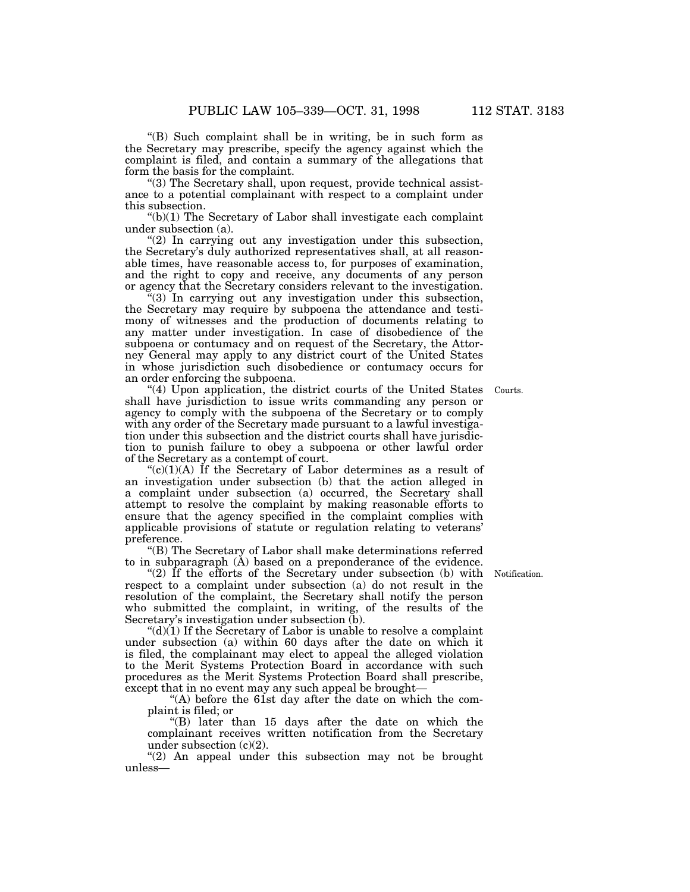''(B) Such complaint shall be in writing, be in such form as the Secretary may prescribe, specify the agency against which the complaint is filed, and contain a summary of the allegations that form the basis for the complaint.

''(3) The Secretary shall, upon request, provide technical assistance to a potential complainant with respect to a complaint under this subsection.

" $(b)(1)$  The Secretary of Labor shall investigate each complaint under subsection (a).

 $(2)$  In carrying out any investigation under this subsection, the Secretary's duly authorized representatives shall, at all reasonable times, have reasonable access to, for purposes of examination, and the right to copy and receive, any documents of any person or agency that the Secretary considers relevant to the investigation.

''(3) In carrying out any investigation under this subsection, the Secretary may require by subpoena the attendance and testimony of witnesses and the production of documents relating to any matter under investigation. In case of disobedience of the subpoena or contumacy and on request of the Secretary, the Attorney General may apply to any district court of the United States in whose jurisdiction such disobedience or contumacy occurs for an order enforcing the subpoena.

Courts.

"(4) Upon application, the district courts of the United States shall have jurisdiction to issue writs commanding any person or agency to comply with the subpoena of the Secretary or to comply with any order of the Secretary made pursuant to a lawful investigation under this subsection and the district courts shall have jurisdiction to punish failure to obey a subpoena or other lawful order of the Secretary as a contempt of court.

" $(c)(1)(A)$  If the Secretary of Labor determines as a result of an investigation under subsection (b) that the action alleged in a complaint under subsection (a) occurred, the Secretary shall attempt to resolve the complaint by making reasonable efforts to ensure that the agency specified in the complaint complies with applicable provisions of statute or regulation relating to veterans' preference.

''(B) The Secretary of Labor shall make determinations referred to in subparagraph (A) based on a preponderance of the evidence.

" $(2)$  If the efforts of the Secretary under subsection (b) with respect to a complaint under subsection (a) do not result in the resolution of the complaint, the Secretary shall notify the person who submitted the complaint, in writing, of the results of the Secretary's investigation under subsection (b).

" $(d)(1)$  If the Secretary of Labor is unable to resolve a complaint under subsection (a) within 60 days after the date on which it is filed, the complainant may elect to appeal the alleged violation to the Merit Systems Protection Board in accordance with such procedures as the Merit Systems Protection Board shall prescribe, except that in no event may any such appeal be brought—

"(A) before the 61st day after the date on which the complaint is filed; or

''(B) later than 15 days after the date on which the complainant receives written notification from the Secretary under subsection  $(c)(2)$ .

"(2) An appeal under this subsection may not be brought unless—

Notification.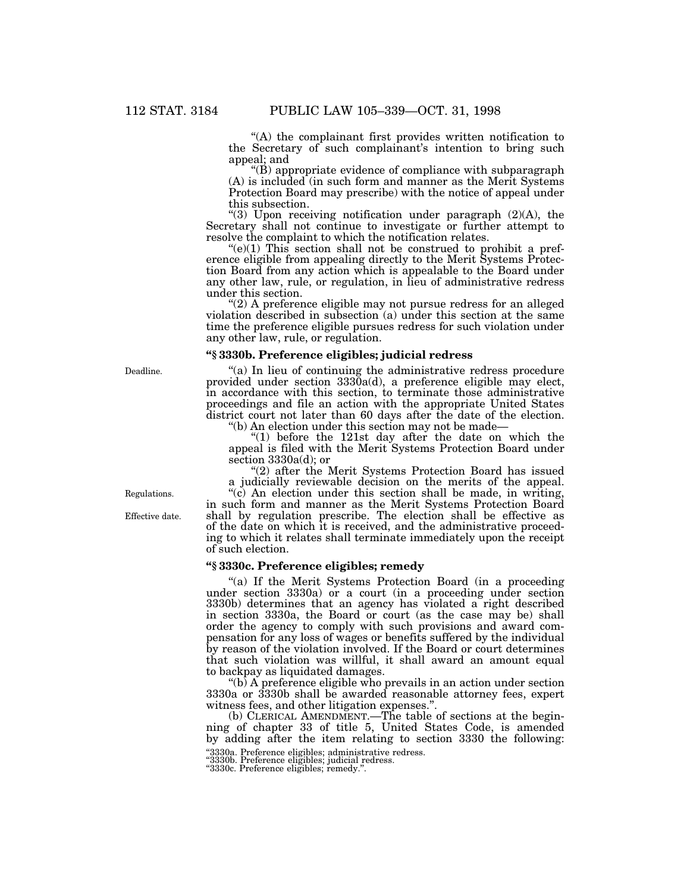''(A) the complainant first provides written notification to the Secretary of such complainant's intention to bring such appeal; and

 $\mathrm{``(B)}$  appropriate evidence of compliance with subparagraph (A) is included (in such form and manner as the Merit Systems Protection Board may prescribe) with the notice of appeal under this subsection.

"(3) Upon receiving notification under paragraph (2)(A), the Secretary shall not continue to investigate or further attempt to resolve the complaint to which the notification relates.

 $(e)(1)$  This section shall not be construed to prohibit a preference eligible from appealing directly to the Merit Systems Protection Board from any action which is appealable to the Board under any other law, rule, or regulation, in lieu of administrative redress under this section.

"(2) A preference eligible may not pursue redress for an alleged violation described in subsection (a) under this section at the same time the preference eligible pursues redress for such violation under any other law, rule, or regulation.

## **''§ 3330b. Preference eligibles; judicial redress**

"(a) In lieu of continuing the administrative redress procedure provided under section 3330a(d), a preference eligible may elect, in accordance with this section, to terminate those administrative proceedings and file an action with the appropriate United States district court not later than 60 days after the date of the election.

''(b) An election under this section may not be made—

"(1) before the 121st day after the date on which the appeal is filed with the Merit Systems Protection Board under section 3330a(d); or

"(2) after the Merit Systems Protection Board has issued a judicially reviewable decision on the merits of the appeal.

''(c) An election under this section shall be made, in writing, in such form and manner as the Merit Systems Protection Board shall by regulation prescribe. The election shall be effective as of the date on which it is received, and the administrative proceeding to which it relates shall terminate immediately upon the receipt of such election.

## **''§ 3330c. Preference eligibles; remedy**

"(a) If the Merit Systems Protection Board (in a proceeding under section 3330a) or a court (in a proceeding under section 3330b) determines that an agency has violated a right described in section 3330a, the Board or court (as the case may be) shall order the agency to comply with such provisions and award compensation for any loss of wages or benefits suffered by the individual by reason of the violation involved. If the Board or court determines that such violation was willful, it shall award an amount equal to backpay as liquidated damages.

''(b) A preference eligible who prevails in an action under section 3330a or 3330b shall be awarded reasonable attorney fees, expert witness fees, and other litigation expenses.''.

(b) CLERICAL AMENDMENT.—The table of sections at the beginning of chapter 33 of title 5, United States Code, is amended by adding after the item relating to section 3330 the following: ''3330a. Preference eligibles; administrative redress.

''3330b. Preference eligibles; judicial redress. ''3330c. Preference eligibles; remedy.''.

Deadline.

Regulations.

Effective date.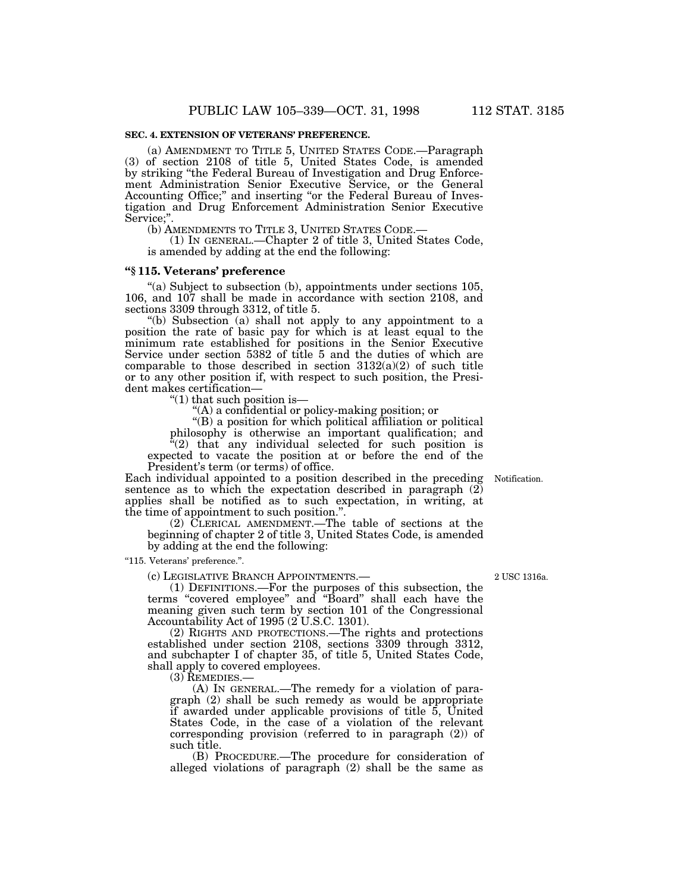#### **SEC. 4. EXTENSION OF VETERANS' PREFERENCE.**

(a) AMENDMENT TO TITLE 5, UNITED STATES CODE.—Paragraph (3) of section 2108 of title 5, United States Code, is amended by striking ''the Federal Bureau of Investigation and Drug Enforcement Administration Senior Executive Service, or the General Accounting Office;'' and inserting ''or the Federal Bureau of Investigation and Drug Enforcement Administration Senior Executive Service;''.

(b) AMENDMENTS TO TITLE 3, UNITED STATES CODE.—

(1) IN GENERAL.—Chapter 2 of title 3, United States Code, is amended by adding at the end the following:

#### **''§ 115. Veterans' preference**

"(a) Subject to subsection (b), appointments under sections 105, 106, and 107 shall be made in accordance with section 2108, and sections 3309 through 3312, of title 5.

''(b) Subsection (a) shall not apply to any appointment to a position the rate of basic pay for which is at least equal to the minimum rate established for positions in the Senior Executive Service under section 5382 of title 5 and the duties of which are comparable to those described in section  $3132(a)(2)$  of such title or to any other position if, with respect to such position, the President makes certification—

" $(1)$  that such position is—

''(A) a confidential or policy-making position; or

''(B) a position for which political affiliation or political philosophy is otherwise an important qualification; and

 $t^2(2)$  that any individual selected for such position is expected to vacate the position at or before the end of the President's term (or terms) of office.

Each individual appointed to a position described in the preceding Notification.sentence as to which the expectation described in paragraph (2) applies shall be notified as to such expectation, in writing, at the time of appointment to such position.''.

(2) CLERICAL AMENDMENT.—The table of sections at the beginning of chapter 2 of title 3, United States Code, is amended by adding at the end the following:

''115. Veterans' preference.''.

(c) LEGISLATIVE BRANCH APPOINTMENTS.—

(1) DEFINITIONS.—For the purposes of this subsection, the terms ''covered employee'' and ''Board'' shall each have the meaning given such term by section 101 of the Congressional Accountability Act of 1995 (2 U.S.C. 1301).

(2) RIGHTS AND PROTECTIONS.—The rights and protections established under section 2108, sections 3309 through 3312, and subchapter I of chapter 35, of title 5, United States Code, shall apply to covered employees.

(3) REMEDIES.—

(A) IN GENERAL.—The remedy for a violation of paragraph (2) shall be such remedy as would be appropriate if awarded under applicable provisions of title 5, United States Code, in the case of a violation of the relevant corresponding provision (referred to in paragraph (2)) of such title.

(B) PROCEDURE.—The procedure for consideration of alleged violations of paragraph (2) shall be the same as

2 USC 1316a.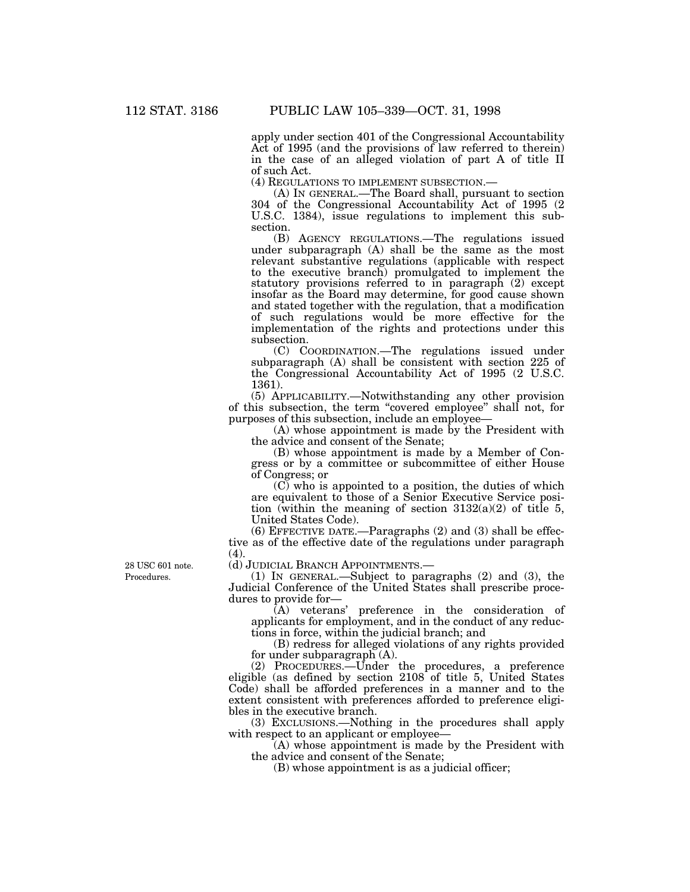apply under section 401 of the Congressional Accountability Act of 1995 (and the provisions of law referred to therein) in the case of an alleged violation of part A of title II of such Act.

(4) REGULATIONS TO IMPLEMENT SUBSECTION.—

(A) IN GENERAL.—The Board shall, pursuant to section 304 of the Congressional Accountability Act of 1995 (2 U.S.C. 1384), issue regulations to implement this subsection.

(B) AGENCY REGULATIONS.—The regulations issued under subparagraph (A) shall be the same as the most relevant substantive regulations (applicable with respect to the executive branch) promulgated to implement the statutory provisions referred to in paragraph (2) except insofar as the Board may determine, for good cause shown and stated together with the regulation, that a modification of such regulations would be more effective for the implementation of the rights and protections under this subsection.

(C) COORDINATION.—The regulations issued under subparagraph (A) shall be consistent with section 225 of the Congressional Accountability Act of 1995 (2 U.S.C. 1361).

(5) APPLICABILITY.—Notwithstanding any other provision of this subsection, the term ''covered employee'' shall not, for purposes of this subsection, include an employee—

(A) whose appointment is made by the President with the advice and consent of the Senate;

(B) whose appointment is made by a Member of Congress or by a committee or subcommittee of either House of Congress; or

 $(C)$  who is appointed to a position, the duties of which are equivalent to those of a Senior Executive Service position (within the meaning of section  $3132(a)(2)$  of title 5, United States Code).

(6) EFFECTIVE DATE.—Paragraphs (2) and (3) shall be effective as of the effective date of the regulations under paragraph (4).

(d) JUDICIAL BRANCH APPOINTMENTS.—

(1) IN GENERAL.—Subject to paragraphs (2) and (3), the Judicial Conference of the United States shall prescribe procedures to provide for—

(A) veterans' preference in the consideration of applicants for employment, and in the conduct of any reductions in force, within the judicial branch; and

(B) redress for alleged violations of any rights provided for under subparagraph (A).

(2) PROCEDURES.—Under the procedures, a preference eligible (as defined by section 2108 of title 5, United States Code) shall be afforded preferences in a manner and to the extent consistent with preferences afforded to preference eligibles in the executive branch.

(3) EXCLUSIONS.—Nothing in the procedures shall apply with respect to an applicant or employee—

(A) whose appointment is made by the President with the advice and consent of the Senate;

(B) whose appointment is as a judicial officer;

Procedures. 28 USC 601 note.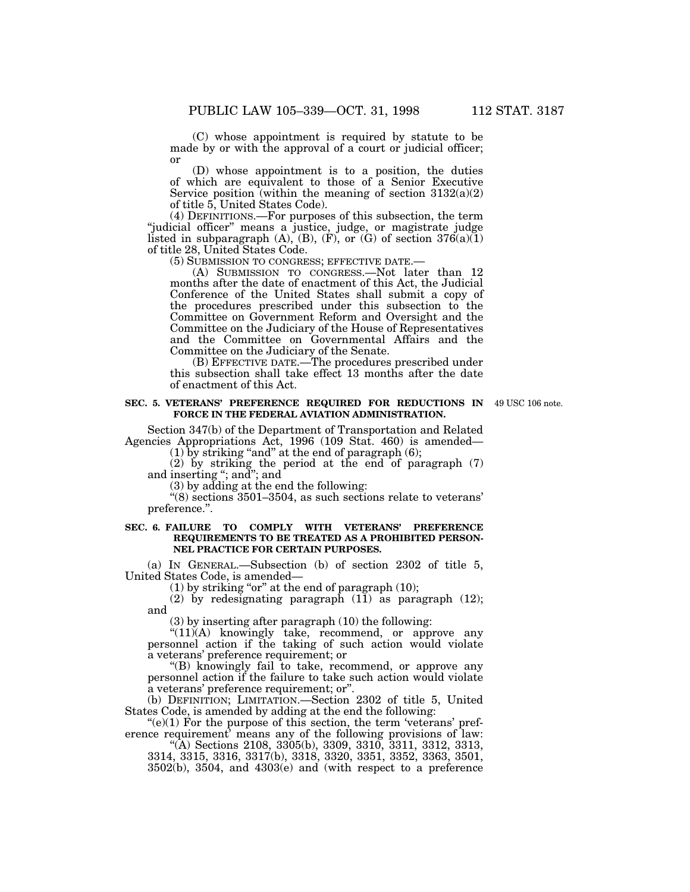(C) whose appointment is required by statute to be made by or with the approval of a court or judicial officer; or

(D) whose appointment is to a position, the duties of which are equivalent to those of a Senior Executive Service position (within the meaning of section  $3132(a)(2)$ ) of title 5, United States Code).

(4) DEFINITIONS.—For purposes of this subsection, the term "judicial officer" means a justice, judge, or magistrate judge listed in subparagraph  $(A)$ ,  $(B)$ ,  $(F)$ , or  $(G)$  of section  $376(a)(1)$ of title 28, United States Code.

(5) SUBMISSION TO CONGRESS; EFFECTIVE DATE.—

(A) SUBMISSION TO CONGRESS.—Not later than 12 months after the date of enactment of this Act, the Judicial Conference of the United States shall submit a copy of the procedures prescribed under this subsection to the Committee on Government Reform and Oversight and the Committee on the Judiciary of the House of Representatives and the Committee on Governmental Affairs and the Committee on the Judiciary of the Senate.

(B) EFFECTIVE DATE.—The procedures prescribed under this subsection shall take effect 13 months after the date of enactment of this Act.

#### **SEC. 5. VETERANS' PREFERENCE REQUIRED FOR REDUCTIONS IN** 49 USC 106 note.**FORCE IN THE FEDERAL AVIATION ADMINISTRATION.**

Section 347(b) of the Department of Transportation and Related Agencies Appropriations Act, 1996 (109 Stat. 460) is amended—

 $(1)$  by striking "and" at the end of paragraph  $(6)$ ;

(2) by striking the period at the end of paragraph (7) and inserting ''; and''; and

(3) by adding at the end the following:

''(8) sections 3501–3504, as such sections relate to veterans' preference.''.

### **SEC. 6. FAILURE TO COMPLY WITH VETERANS' PREFERENCE REQUIREMENTS TO BE TREATED AS A PROHIBITED PERSON-NEL PRACTICE FOR CERTAIN PURPOSES.**

(a) IN GENERAL.—Subsection (b) of section 2302 of title 5, United States Code, is amended—

 $(1)$  by striking "or" at the end of paragraph  $(10)$ ;

(2) by redesignating paragraph (11) as paragraph (12); and

(3) by inserting after paragraph (10) the following:

"(11)(A) knowingly take, recommend, or approve any personnel action if the taking of such action would violate a veterans' preference requirement; or

''(B) knowingly fail to take, recommend, or approve any personnel action if the failure to take such action would violate a veterans' preference requirement; or''.

(b) DEFINITION; LIMITATION.—Section 2302 of title 5, United States Code, is amended by adding at the end the following:

 $(e)(1)$  For the purpose of this section, the term 'veterans' preference requirement' means any of the following provisions of law:

''(A) Sections 2108, 3305(b), 3309, 3310, 3311, 3312, 3313, 3314, 3315, 3316, 3317(b), 3318, 3320, 3351, 3352, 3363, 3501, 3502(b), 3504, and 4303(e) and (with respect to a preference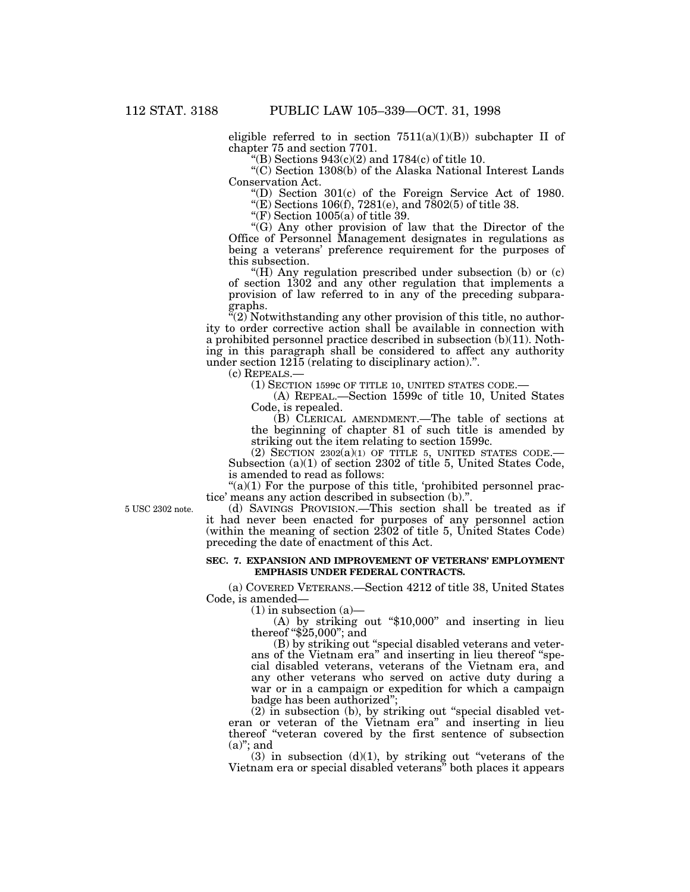eligible referred to in section  $7511(a)(1)(B)$  subchapter II of chapter 75 and section 7701.

"(B) Sections  $943(c)(2)$  and  $1784(c)$  of title 10.

''(C) Section 1308(b) of the Alaska National Interest Lands Conservation Act.

''(D) Section 301(c) of the Foreign Service Act of 1980.

"(E) Sections 106(f),  $7281(e)$ , and  $7802(5)$  of title 38.

"(F) Section  $1005(a)$  of title 39.

''(G) Any other provision of law that the Director of the Office of Personnel Management designates in regulations as being a veterans' preference requirement for the purposes of this subsection.

"(H) Any regulation prescribed under subsection (b) or (c) of section 1302 and any other regulation that implements a provision of law referred to in any of the preceding subparagraphs.

"(2) Notwithstanding any other provision of this title, no authority to order corrective action shall be available in connection with a prohibited personnel practice described in subsection (b)(11). Nothing in this paragraph shall be considered to affect any authority under section 1215 (relating to disciplinary action).''.

(c) REPEALS.—

(1) SECTION 1599c OF TITLE 10, UNITED STATES CODE.—

(A) REPEAL.—Section 1599c of title 10, United States Code, is repealed.

(B) CLERICAL AMENDMENT.—The table of sections at the beginning of chapter 81 of such title is amended by striking out the item relating to section 1599c.

(2) SECTION  $2302(a)(1)$  OF TITLE 5, UNITED STATES CODE.— Subsection (a)(1) of section 2302 of title 5, United States Code, is amended to read as follows:

" $(a)(1)$  For the purpose of this title, 'prohibited personnel practice' means any action described in subsection (b)."

(d) SAVINGS PROVISION.—This section shall be treated as if it had never been enacted for purposes of any personnel action (within the meaning of section 2302 of title 5, United States Code) preceding the date of enactment of this Act.

#### **SEC. 7. EXPANSION AND IMPROVEMENT OF VETERANS' EMPLOYMENT EMPHASIS UNDER FEDERAL CONTRACTS.**

(a) COVERED VETERANS.—Section 4212 of title 38, United States Code, is amended—

 $(1)$  in subsection  $(a)$ —

(A) by striking out ''\$10,000'' and inserting in lieu thereof "\$25,000"; and

(B) by striking out ''special disabled veterans and veterans of the Vietnam era'' and inserting in lieu thereof ''special disabled veterans, veterans of the Vietnam era, and any other veterans who served on active duty during a war or in a campaign or expedition for which a campaign badge has been authorized'';

(2) in subsection (b), by striking out ''special disabled veteran or veteran of the Vietnam era'' and inserting in lieu thereof ''veteran covered by the first sentence of subsection  $(a)$ "; and

 $(3)$  in subsection  $(d)(1)$ , by striking out "veterans of the Vietnam era or special disabled veterans'' both places it appears

5 USC 2302 note.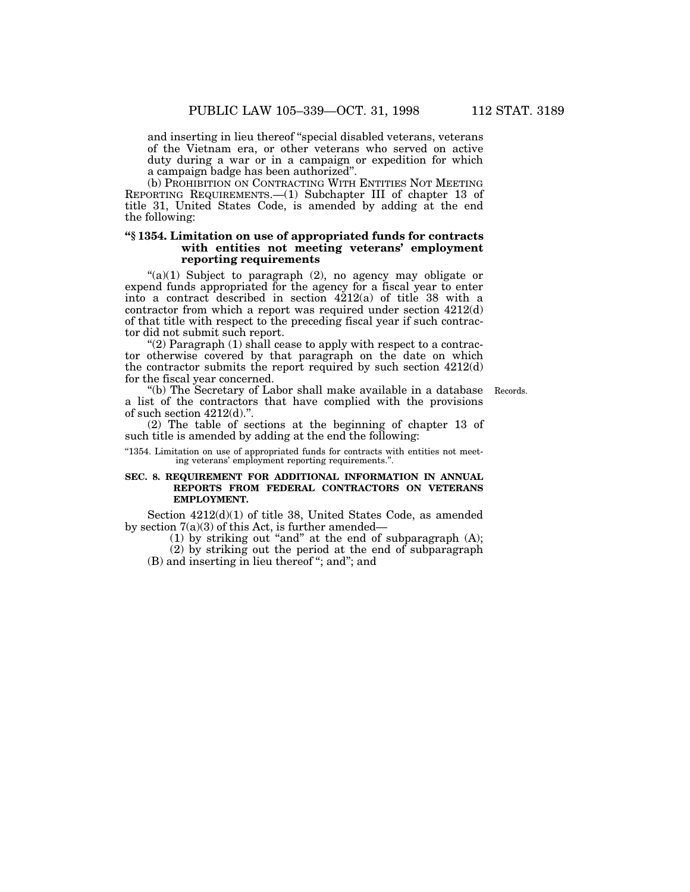and inserting in lieu thereof ''special disabled veterans, veterans of the Vietnam era, or other veterans who served on active duty during a war or in a campaign or expedition for which a campaign badge has been authorized''.

(b) PROHIBITION ON CONTRACTING WITH ENTITIES NOT MEETING REPORTING REQUIREMENTS.—(1) Subchapter III of chapter 13 of title 31, United States Code, is amended by adding at the end the following:

## **''§ 1354. Limitation on use of appropriated funds for contracts with entities not meeting veterans' employment reporting requirements**

" $(a)(1)$  Subject to paragraph  $(2)$ , no agency may obligate or expend funds appropriated for the agency for a fiscal year to enter into a contract described in section  $4212(a)$  of title 38 with a contractor from which a report was required under section 4212(d) of that title with respect to the preceding fiscal year if such contractor did not submit such report.

"(2) Paragraph  $(1)$  shall cease to apply with respect to a contractor otherwise covered by that paragraph on the date on which the contractor submits the report required by such section 4212(d) for the fiscal year concerned.

''(b) The Secretary of Labor shall make available in a database a list of the contractors that have complied with the provisions of such section 4212(d).''.

Records.

(2) The table of sections at the beginning of chapter 13 of such title is amended by adding at the end the following:

"1354. Limitation on use of appropriated funds for contracts with entities not meeting veterans' employment reporting requirements.''.

## **SEC. 8. REQUIREMENT FOR ADDITIONAL INFORMATION IN ANNUAL REPORTS FROM FEDERAL CONTRACTORS ON VETERANS EMPLOYMENT.**

Section 4212(d)(1) of title 38, United States Code, as amended by section 7(a)(3) of this Act, is further amended—

(1) by striking out ''and'' at the end of subparagraph (A);

(2) by striking out the period at the end of subparagraph (B) and inserting in lieu thereof ''; and''; and